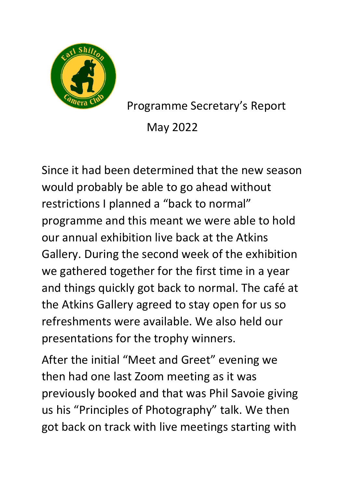

Programme Secretary's Report May 2022

Since it had been determined that the new season would probably be able to go ahead without restrictions I planned a "back to normal" programme and this meant we were able to hold our annual exhibition live back at the Atkins Gallery. During the second week of the exhibition we gathered together for the first time in a year and things quickly got back to normal. The café at the Atkins Gallery agreed to stay open for us so refreshments were available. We also held our presentations for the trophy winners.

After the initial "Meet and Greet" evening we then had one last Zoom meeting as it was previously booked and that was Phil Savoie giving us his "Principles of Photography" talk. We then got back on track with live meetings starting with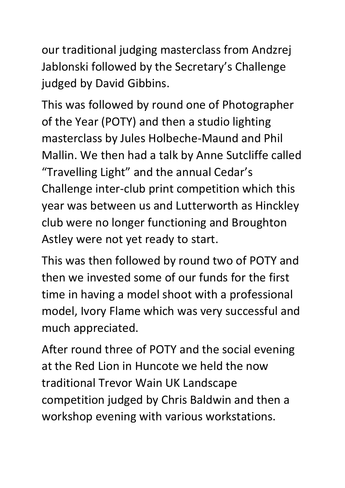our traditional judging masterclass from Andzrej Jablonski followed by the Secretary's Challenge judged by David Gibbins.

This was followed by round one of Photographer of the Year (POTY) and then a studio lighting masterclass by Jules Holbeche-Maund and Phil Mallin. We then had a talk by Anne Sutcliffe called "Travelling Light" and the annual Cedar's Challenge inter-club print competition which this year was between us and Lutterworth as Hinckley club were no longer functioning and Broughton Astley were not yet ready to start.

This was then followed by round two of POTY and then we invested some of our funds for the first time in having a model shoot with a professional model, Ivory Flame which was very successful and much appreciated.

After round three of POTY and the social evening at the Red Lion in Huncote we held the now traditional Trevor Wain UK Landscape competition judged by Chris Baldwin and then a workshop evening with various workstations.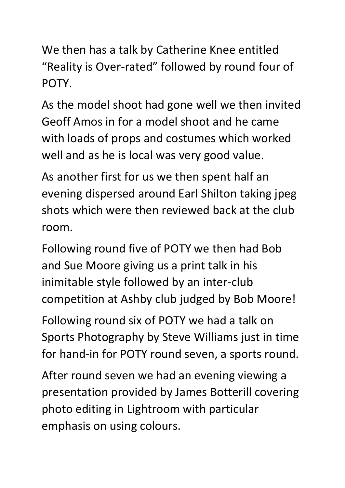We then has a talk by Catherine Knee entitled "Reality is Over-rated" followed by round four of POTY.

As the model shoot had gone well we then invited Geoff Amos in for a model shoot and he came with loads of props and costumes which worked well and as he is local was very good value.

As another first for us we then spent half an evening dispersed around Earl Shilton taking jpeg shots which were then reviewed back at the club room.

Following round five of POTY we then had Bob and Sue Moore giving us a print talk in his inimitable style followed by an inter-club competition at Ashby club judged by Bob Moore!

Following round six of POTY we had a talk on Sports Photography by Steve Williams just in time for hand-in for POTY round seven, a sports round.

After round seven we had an evening viewing a presentation provided by James Botterill covering photo editing in Lightroom with particular emphasis on using colours.